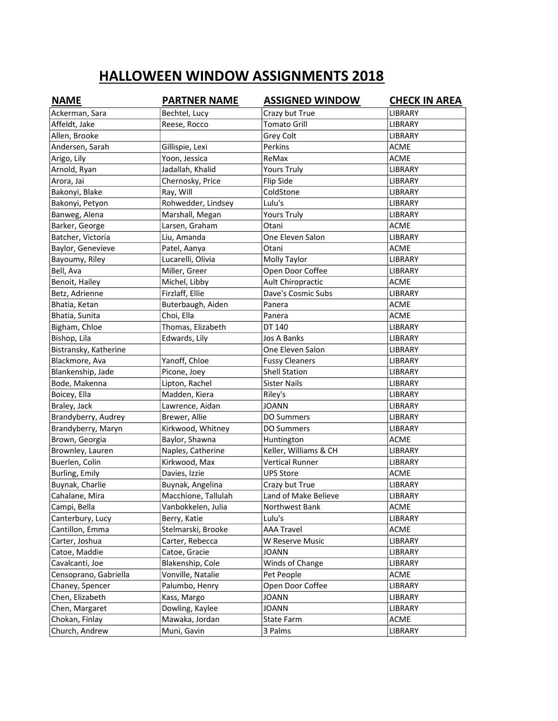|                       |                     | <b>ASSIGNED WINDOW</b> | <b>CHECK IN AREA</b> |
|-----------------------|---------------------|------------------------|----------------------|
| Ackerman, Sara        | Bechtel, Lucy       | Crazy but True         | LIBRARY              |
| Affeldt, Jake         | Reese, Rocco        | <b>Tomato Grill</b>    | LIBRARY              |
| Allen, Brooke         |                     | Grey Colt              | LIBRARY              |
| Andersen, Sarah       | Gillispie, Lexi     | Perkins                | <b>ACME</b>          |
| Arigo, Lily           | Yoon, Jessica       | ReMax                  | <b>ACME</b>          |
| Arnold, Ryan          | Jadallah, Khalid    | <b>Yours Truly</b>     | <b>LIBRARY</b>       |
| Arora, Jai            | Chernosky, Price    | Flip Side              | LIBRARY              |
| Bakonyi, Blake        | Ray, Will           | ColdStone              | LIBRARY              |
| Bakonyi, Petyon       | Rohwedder, Lindsey  | Lulu's                 | LIBRARY              |
| Banweg, Alena         | Marshall, Megan     | <b>Yours Truly</b>     | LIBRARY              |
| Barker, George        | Larsen, Graham      | Otani                  | <b>ACME</b>          |
| Batcher, Victoria     | Liu, Amanda         | One Eleven Salon       | LIBRARY              |
| Baylor, Genevieve     | Patel, Aanya        | Otani                  | ACME                 |
| Bayoumy, Riley        | Lucarelli, Olivia   | Molly Taylor           | LIBRARY              |
| Bell, Ava             | Miller, Greer       | Open Door Coffee       | <b>LIBRARY</b>       |
| Benoit, Hailey        | Michel, Libby       | Ault Chiropractic      | <b>ACME</b>          |
| Betz, Adrienne        | Firzlaff, Ellie     | Dave's Cosmic Subs     | LIBRARY              |
| Bhatia, Ketan         | Buterbaugh, Aiden   | Panera                 | <b>ACME</b>          |
| Bhatia, Sunita        | Choi, Ella          | Panera                 | <b>ACME</b>          |
| Bigham, Chloe         | Thomas, Elizabeth   | DT 140                 | LIBRARY              |
| Bishop, Lila          | Edwards, Lily       | Jos A Banks            | LIBRARY              |
| Bistransky, Katherine |                     | One Eleven Salon       | LIBRARY              |
| Blackmore, Ava        | Yanoff, Chloe       | <b>Fussy Cleaners</b>  | LIBRARY              |
| Blankenship, Jade     | Picone, Joey        | <b>Shell Station</b>   | LIBRARY              |
| Bode, Makenna         | Lipton, Rachel      | <b>Sister Nails</b>    | LIBRARY              |
| Boicey, Ella          | Madden, Kiera       | Riley's                | LIBRARY              |
| Braley, Jack          | Lawrence, Aidan     | JOANN                  | LIBRARY              |
| Brandyberry, Audrey   | Brewer, Allie       | <b>DO Summers</b>      | LIBRARY              |
| Brandyberry, Maryn    | Kirkwood, Whitney   | <b>DO Summers</b>      | LIBRARY              |
| Brown, Georgia        | Baylor, Shawna      | Huntington             | ACME                 |
| Brownley, Lauren      | Naples, Catherine   | Keller, Williams & CH  | <b>LIBRARY</b>       |
| Buerlen, Colin        | Kirkwood, Max       | <b>Vertical Runner</b> | <b>LIBRARY</b>       |
| Burling, Emily        | Davies, Izzie       | <b>UPS Store</b>       | <b>ACME</b>          |
| Buynak, Charlie       | Buynak, Angelina    | Crazy but True         | LIBRARY              |
| Cahalane, Mira        | Macchione, Tallulah | Land of Make Believe   | <b>LIBRARY</b>       |
| Campi, Bella          | Vanbokkelen, Julia  | Northwest Bank         | <b>ACME</b>          |
| Canterbury, Lucy      | Berry, Katie        | Lulu's                 | LIBRARY              |
| Cantillon, Emma       | Stelmarski, Brooke  | <b>AAA Travel</b>      | ACME                 |
| Carter, Joshua        | Carter, Rebecca     | W Reserve Music        | LIBRARY              |
| Catoe, Maddie         | Catoe, Gracie       | <b>JOANN</b>           | LIBRARY              |
| Cavalcanti, Joe       | Blakenship, Cole    | Winds of Change        | LIBRARY              |
| Censoprano, Gabriella | Vonville, Natalie   | Pet People             | <b>ACME</b>          |
| Chaney, Spencer       | Palumbo, Henry      | Open Door Coffee       | LIBRARY              |
| Chen, Elizabeth       | Kass, Margo         | <b>JOANN</b>           | LIBRARY              |
| Chen, Margaret        | Dowling, Kaylee     | <b>JOANN</b>           | LIBRARY              |
| Chokan, Finlay        | Mawaka, Jordan      | State Farm             | <b>ACME</b>          |
| Church, Andrew        | Muni, Gavin         | 3 Palms                | LIBRARY              |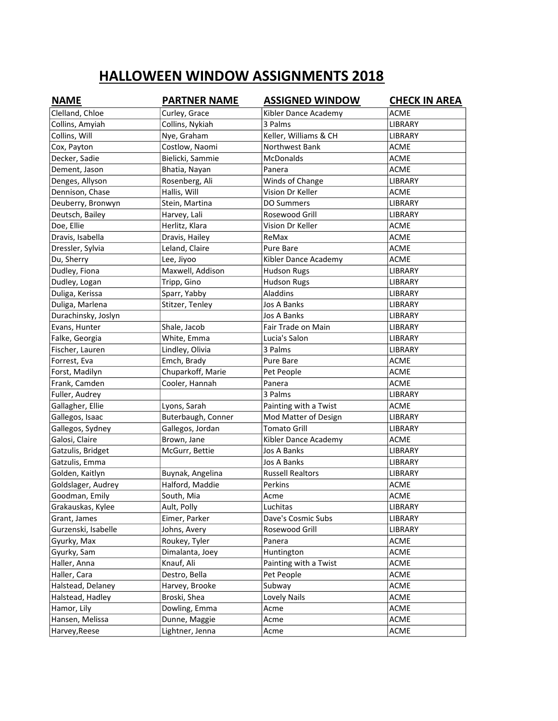| <b>NAME</b>         | <b>PARTNER NAME</b> | <b>ASSIGNED WINDOW</b>  | <b>CHECK IN AREA</b> |
|---------------------|---------------------|-------------------------|----------------------|
| Clelland, Chloe     | Curley, Grace       | Kibler Dance Academy    | <b>ACME</b>          |
| Collins, Amyiah     | Collins, Nykiah     | 3 Palms                 | LIBRARY              |
| Collins, Will       | Nye, Graham         | Keller, Williams & CH   | LIBRARY              |
| Cox, Payton         | Costlow, Naomi      | Northwest Bank          | <b>ACME</b>          |
| Decker, Sadie       | Bielicki, Sammie    | McDonalds               | <b>ACME</b>          |
| Dement, Jason       | Bhatia, Nayan       | Panera                  | <b>ACME</b>          |
| Denges, Allyson     | Rosenberg, Ali      | Winds of Change         | LIBRARY              |
| Dennison, Chase     | Hallis, Will        | Vision Dr Keller        | <b>ACME</b>          |
| Deuberry, Bronwyn   | Stein, Martina      | <b>DO Summers</b>       | LIBRARY              |
| Deutsch, Bailey     | Harvey, Lali        | Rosewood Grill          | LIBRARY              |
| Doe, Ellie          | Herlitz, Klara      | Vision Dr Keller        | <b>ACME</b>          |
| Dravis, Isabella    | Dravis, Hailey      | ReMax                   | <b>ACME</b>          |
| Dressler, Sylvia    | Leland, Claire      | Pure Bare               | <b>ACME</b>          |
| Du, Sherry          | Lee, Jiyoo          | Kibler Dance Academy    | <b>ACME</b>          |
| Dudley, Fiona       | Maxwell, Addison    | <b>Hudson Rugs</b>      | LIBRARY              |
| Dudley, Logan       | Tripp, Gino         | <b>Hudson Rugs</b>      | LIBRARY              |
| Duliga, Kerissa     | Sparr, Yabby        | Aladdins                | LIBRARY              |
| Duliga, Marlena     | Stitzer, Tenley     | Jos A Banks             | LIBRARY              |
| Durachinsky, Joslyn |                     | Jos A Banks             | LIBRARY              |
| Evans, Hunter       | Shale, Jacob        | Fair Trade on Main      | LIBRARY              |
| Falke, Georgia      | White, Emma         | Lucia's Salon           | LIBRARY              |
| Fischer, Lauren     | Lindley, Olivia     | 3 Palms                 | LIBRARY              |
| Forrest, Eva        | Emch, Brady         | Pure Bare               | <b>ACME</b>          |
| Forst, Madilyn      | Chuparkoff, Marie   | Pet People              | <b>ACME</b>          |
| Frank, Camden       | Cooler, Hannah      | Panera                  | <b>ACME</b>          |
| Fuller, Audrey      |                     | 3 Palms                 | LIBRARY              |
| Gallagher, Ellie    | Lyons, Sarah        | Painting with a Twist   | <b>ACME</b>          |
| Gallegos, Isaac     | Buterbaugh, Conner  | Mod Matter of Design    | LIBRARY              |
| Gallegos, Sydney    | Gallegos, Jordan    | <b>Tomato Grill</b>     | LIBRARY              |
| Galosi, Claire      | Brown, Jane         | Kibler Dance Academy    | ACME                 |
| Gatzulis, Bridget   | McGurr, Bettie      | Jos A Banks             | <b>LIBRARY</b>       |
| Gatzulis, Emma      |                     | Jos A Banks             | LIBRARY              |
| Golden, Kaitlyn     | Buynak, Angelina    | <b>Russell Realtors</b> | LIBRARY              |
| Goldslager, Audrey  | Halford, Maddie     | Perkins                 | <b>ACME</b>          |
| Goodman, Emily      | South, Mia          | Acme                    | <b>ACME</b>          |
| Grakauskas, Kylee   | Ault, Polly         | Luchitas                | LIBRARY              |
| Grant, James        | Eimer, Parker       | Dave's Cosmic Subs      | LIBRARY              |
| Gurzenski, Isabelle | Johns, Avery        | Rosewood Grill          | LIBRARY              |
| Gyurky, Max         | Roukey, Tyler       | Panera                  | ACME                 |
| Gyurky, Sam         | Dimalanta, Joey     | Huntington              | <b>ACME</b>          |
| Haller, Anna        | Knauf, Ali          | Painting with a Twist   | <b>ACME</b>          |
| Haller, Cara        | Destro, Bella       | Pet People              | <b>ACME</b>          |
| Halstead, Delaney   | Harvey, Brooke      | Subway                  | ACME                 |
| Halstead, Hadley    | Broski, Shea        | Lovely Nails            | ACME                 |
| Hamor, Lily         | Dowling, Emma       | Acme                    | <b>ACME</b>          |
| Hansen, Melissa     | Dunne, Maggie       | Acme                    | <b>ACME</b>          |
| Harvey, Reese       | Lightner, Jenna     | Acme                    | ACME                 |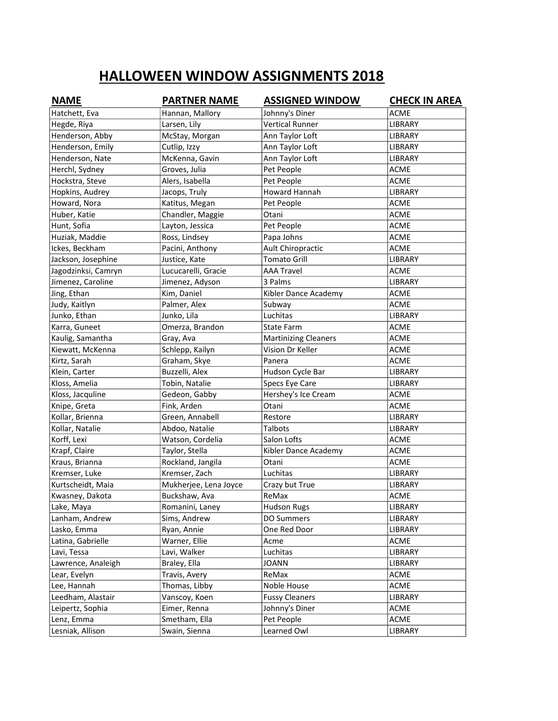| <b>NAME</b>         | <b>PARTNER NAME</b>   | <b>ASSIGNED WINDOW</b>      | <b>CHECK IN AREA</b> |
|---------------------|-----------------------|-----------------------------|----------------------|
| Hatchett, Eva       | Hannan, Mallory       | Johnny's Diner              | <b>ACME</b>          |
| Hegde, Riya         | Larsen, Lily          | <b>Vertical Runner</b>      | LIBRARY              |
| Henderson, Abby     | McStay, Morgan        | Ann Taylor Loft             | LIBRARY              |
| Henderson, Emily    | Cutlip, Izzy          | Ann Taylor Loft             | LIBRARY              |
| Henderson, Nate     | McKenna, Gavin        | Ann Taylor Loft             | LIBRARY              |
| Herchl, Sydney      | Groves, Julia         | Pet People                  | <b>ACME</b>          |
| Hockstra, Steve     | Alers, Isabella       | Pet People                  | <b>ACME</b>          |
| Hopkins, Audrey     | Jacops, Truly         | <b>Howard Hannah</b>        | <b>LIBRARY</b>       |
| Howard, Nora        | Katitus, Megan        | Pet People                  | <b>ACME</b>          |
| Huber, Katie        | Chandler, Maggie      | Otani                       | <b>ACME</b>          |
| Hunt, Sofia         | Layton, Jessica       | Pet People                  | <b>ACME</b>          |
| Huziak, Maddie      | Ross, Lindsey         | Papa Johns                  | <b>ACME</b>          |
| Ickes, Beckham      | Pacini, Anthony       | Ault Chiropractic           | <b>ACME</b>          |
| Jackson, Josephine  | Justice, Kate         | <b>Tomato Grill</b>         | <b>LIBRARY</b>       |
| Jagodzinksi, Camryn | Lucucarelli, Gracie   | <b>AAA Travel</b>           | <b>ACME</b>          |
| Jimenez, Caroline   | Jimenez, Adyson       | 3 Palms                     | LIBRARY              |
| Jing, Ethan         | Kim, Daniel           | Kibler Dance Academy        | <b>ACME</b>          |
| Judy, Kaitlyn       | Palmer, Alex          | Subway                      | <b>ACME</b>          |
| Junko, Ethan        | Junko, Lila           | Luchitas                    | LIBRARY              |
| Karra, Guneet       | Omerza, Brandon       | <b>State Farm</b>           | <b>ACME</b>          |
| Kaulig, Samantha    | Gray, Ava             | <b>Martinizing Cleaners</b> | <b>ACME</b>          |
| Kiewatt, McKenna    | Schlepp, Kailyn       | Vision Dr Keller            | <b>ACME</b>          |
| Kirtz, Sarah        | Graham, Skye          | Panera                      | <b>ACME</b>          |
| Klein, Carter       | Buzzelli, Alex        | Hudson Cycle Bar            | LIBRARY              |
| Kloss, Amelia       | Tobin, Natalie        | Specs Eye Care              | LIBRARY              |
| Kloss, Jacquline    | Gedeon, Gabby         | Hershey's Ice Cream         | <b>ACME</b>          |
| Knipe, Greta        | Fink, Arden           | Otani                       | ACME                 |
| Kollar, Brienna     | Green, Annabell       | Restore                     | LIBRARY              |
| Kollar, Natalie     | Abdoo, Natalie        | <b>Talbots</b>              | LIBRARY              |
| Korff, Lexi         | Watson, Cordelia      | Salon Lofts                 | <b>ACME</b>          |
| Krapf, Claire       | Taylor, Stella        | Kibler Dance Academy        | ACME                 |
| Kraus, Brianna      | Rockland, Jangila     | Otani                       | <b>ACME</b>          |
| Kremser, Luke       | Kremser, Zach         | Luchitas                    | LIBRARY              |
| Kurtscheidt, Maia   | Mukherjee, Lena Joyce | Crazy but True              | LIBRARY              |
| Kwasney, Dakota     | Buckshaw, Ava         | ReMax                       | <b>ACME</b>          |
| Lake, Maya          | Romanini, Laney       | <b>Hudson Rugs</b>          | LIBRARY              |
| Lanham, Andrew      | Sims, Andrew          | <b>DO Summers</b>           | LIBRARY              |
| Lasko, Emma         | Ryan, Annie           | One Red Door                | LIBRARY              |
| Latina, Gabrielle   | Warner, Ellie         | Acme                        | ACME                 |
| Lavi, Tessa         | Lavi, Walker          | Luchitas                    | LIBRARY              |
| Lawrence, Analeigh  | Braley, Ella          | <b>JOANN</b>                | LIBRARY              |
| Lear, Evelyn        | Travis, Avery         | ReMax                       | <b>ACME</b>          |
| Lee, Hannah         | Thomas, Libby         | Noble House                 | <b>ACME</b>          |
| Leedham, Alastair   | Vanscoy, Koen         | <b>Fussy Cleaners</b>       | <b>LIBRARY</b>       |
| Leipertz, Sophia    | Eimer, Renna          | Johnny's Diner              | ACME                 |
| Lenz, Emma          | Smetham, Ella         | Pet People                  | ACME                 |
| Lesniak, Allison    | Swain, Sienna         | Learned Owl                 | LIBRARY              |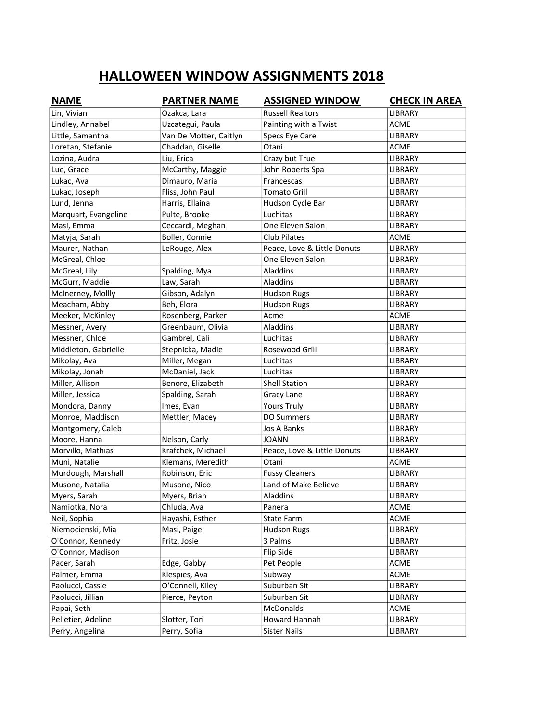| <b>NAME</b>          | <b>PARTNER NAME</b>    | <b>ASSIGNED WINDOW</b>      | <b>CHECK IN AREA</b> |
|----------------------|------------------------|-----------------------------|----------------------|
| Lin, Vivian          | Ozakca, Lara           | <b>Russell Realtors</b>     | <b>LIBRARY</b>       |
| Lindley, Annabel     | Uzcategui, Paula       | Painting with a Twist       | <b>ACME</b>          |
| Little, Samantha     | Van De Motter, Caitlyn | Specs Eye Care              | <b>LIBRARY</b>       |
| Loretan, Stefanie    | Chaddan, Giselle       | Otani                       | <b>ACME</b>          |
| Lozina, Audra        | Liu, Erica             | Crazy but True              | LIBRARY              |
| Lue, Grace           | McCarthy, Maggie       | John Roberts Spa            | LIBRARY              |
| Lukac, Ava           | Dimauro, Maria         | Francescas                  | LIBRARY              |
| Lukac, Joseph        | Fliss, John Paul       | Tomato Grill                | LIBRARY              |
| Lund, Jenna          | Harris, Ellaina        | Hudson Cycle Bar            | LIBRARY              |
| Marquart, Evangeline | Pulte, Brooke          | Luchitas                    | LIBRARY              |
| Masi, Emma           | Ceccardi, Meghan       | One Eleven Salon            | <b>LIBRARY</b>       |
| Matyja, Sarah        | Boller, Connie         | <b>Club Pilates</b>         | <b>ACME</b>          |
| Maurer, Nathan       | LeRouge, Alex          | Peace, Love & Little Donuts | <b>LIBRARY</b>       |
| McGreal, Chloe       |                        | One Eleven Salon            | <b>LIBRARY</b>       |
| McGreal, Lily        | Spalding, Mya          | Aladdins                    | <b>LIBRARY</b>       |
| McGurr, Maddie       | Law, Sarah             | Aladdins                    | LIBRARY              |
| McInerney, Mollly    | Gibson, Adalyn         | <b>Hudson Rugs</b>          | LIBRARY              |
| Meacham, Abby        | Beh, Elora             | <b>Hudson Rugs</b>          | LIBRARY              |
| Meeker, McKinley     | Rosenberg, Parker      | Acme                        | <b>ACME</b>          |
| Messner, Avery       | Greenbaum, Olivia      | Aladdins                    | LIBRARY              |
| Messner, Chloe       | Gambrel, Cali          | Luchitas                    | <b>LIBRARY</b>       |
| Middleton, Gabrielle | Stepnicka, Madie       | Rosewood Grill              | <b>LIBRARY</b>       |
| Mikolay, Ava         | Miller, Megan          | Luchitas                    | LIBRARY              |
| Mikolay, Jonah       | McDaniel, Jack         | Luchitas                    | LIBRARY              |
| Miller, Allison      | Benore, Elizabeth      | <b>Shell Station</b>        | LIBRARY              |
| Miller, Jessica      | Spalding, Sarah        | Gracy Lane                  | LIBRARY              |
| Mondora, Danny       | Imes, Evan             | <b>Yours Truly</b>          | LIBRARY              |
| Monroe, Maddison     | Mettler, Macey         | <b>DO Summers</b>           | LIBRARY              |
| Montgomery, Caleb    |                        | Jos A Banks                 | <b>LIBRARY</b>       |
| Moore, Hanna         | Nelson, Carly          | <b>JOANN</b>                | LIBRARY              |
| Morvillo, Mathias    | Krafchek, Michael      | Peace, Love & Little Donuts | LIBRARY              |
| Muni, Natalie        | Klemans, Meredith      | Otani                       | <b>ACME</b>          |
| Murdough, Marshall   | Robinson, Eric         | <b>Fussy Cleaners</b>       | <b>LIBRARY</b>       |
| Musone, Natalia      | Musone, Nico           | Land of Make Believe        | LIBRARY              |
| Myers, Sarah         | Myers, Brian           | <b>Aladdins</b>             | LIBRARY              |
| Namiotka, Nora       | Chluda, Ava            | Panera                      | <b>ACME</b>          |
| Neil, Sophia         | Hayashi, Esther        | State Farm                  | <b>ACME</b>          |
| Niemocienski, Mia    | Masi, Paige            | <b>Hudson Rugs</b>          | LIBRARY              |
| O'Connor, Kennedy    | Fritz, Josie           | 3 Palms                     | LIBRARY              |
| O'Connor, Madison    |                        | Flip Side                   | LIBRARY              |
| Pacer, Sarah         | Edge, Gabby            | Pet People                  | ACME                 |
| Palmer, Emma         | Klespies, Ava          | Subway                      | ACME                 |
| Paolucci, Cassie     | O'Connell, Kiley       | Suburban Sit                | LIBRARY              |
| Paolucci, Jillian    | Pierce, Peyton         | Suburban Sit                | LIBRARY              |
| Papai, Seth          |                        | McDonalds                   | <b>ACME</b>          |
| Pelletier, Adeline   | Slotter, Tori          | Howard Hannah               | LIBRARY              |
| Perry, Angelina      | Perry, Sofia           | <b>Sister Nails</b>         | LIBRARY              |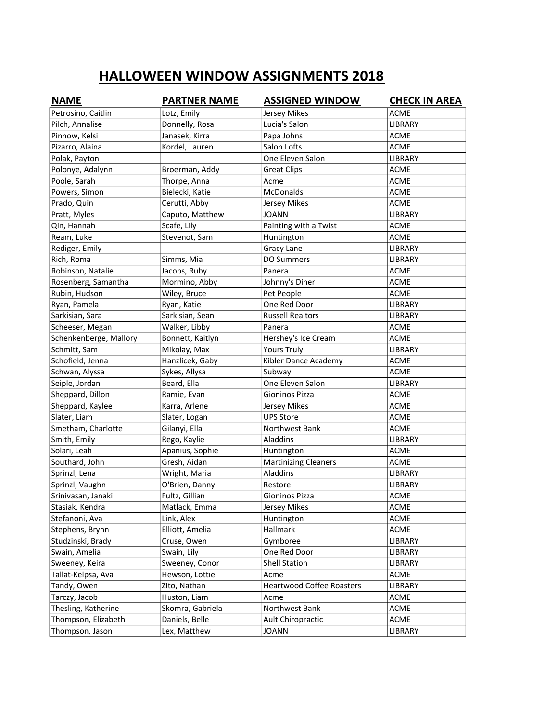| <b>NAME</b>            | <b>PARTNER NAME</b> | <b>ASSIGNED WINDOW</b>           | <b>CHECK IN AREA</b> |
|------------------------|---------------------|----------------------------------|----------------------|
| Petrosino, Caitlin     | Lotz, Emily         | <b>Jersey Mikes</b>              | <b>ACME</b>          |
| Pilch, Annalise        | Donnelly, Rosa      | Lucia's Salon                    | LIBRARY              |
| Pinnow, Kelsi          | Janasek, Kirra      | Papa Johns                       | <b>ACME</b>          |
| Pizarro, Alaina        | Kordel, Lauren      | Salon Lofts                      | <b>ACME</b>          |
| Polak, Payton          |                     | One Eleven Salon                 | LIBRARY              |
| Polonye, Adalynn       | Broerman, Addy      | <b>Great Clips</b>               | <b>ACME</b>          |
| Poole, Sarah           | Thorpe, Anna        | Acme                             | <b>ACME</b>          |
| Powers, Simon          | Bielecki, Katie     | McDonalds                        | <b>ACME</b>          |
| Prado, Quin            | Cerutti, Abby       | Jersey Mikes                     | <b>ACME</b>          |
| Pratt, Myles           | Caputo, Matthew     | <b>JOANN</b>                     | <b>LIBRARY</b>       |
| Qin, Hannah            | Scafe, Lily         | Painting with a Twist            | <b>ACME</b>          |
| Ream, Luke             | Stevenot, Sam       | Huntington                       | <b>ACME</b>          |
| Rediger, Emily         |                     | Gracy Lane                       | LIBRARY              |
| Rich, Roma             | Simms, Mia          | <b>DO Summers</b>                | LIBRARY              |
| Robinson, Natalie      | Jacops, Ruby        | Panera                           | <b>ACME</b>          |
| Rosenberg, Samantha    | Mormino, Abby       | Johnny's Diner                   | <b>ACME</b>          |
| Rubin, Hudson          | Wiley, Bruce        | Pet People                       | <b>ACME</b>          |
| Ryan, Pamela           | Ryan, Katie         | One Red Door                     | LIBRARY              |
| Sarkisian, Sara        | Sarkisian, Sean     | <b>Russell Realtors</b>          | LIBRARY              |
| Scheeser, Megan        | Walker, Libby       | Panera                           | <b>ACME</b>          |
| Schenkenberge, Mallory | Bonnett, Kaitlyn    | Hershey's Ice Cream              | <b>ACME</b>          |
| Schmitt, Sam           | Mikolay, Max        | <b>Yours Truly</b>               | LIBRARY              |
| Schofield, Jenna       | Hanzlicek, Gaby     | Kibler Dance Academy             | <b>ACME</b>          |
| Schwan, Alyssa         | Sykes, Allysa       | Subway                           | <b>ACME</b>          |
| Seiple, Jordan         | Beard, Ella         | One Eleven Salon                 | LIBRARY              |
| Sheppard, Dillon       | Ramie, Evan         | Gioninos Pizza                   | <b>ACME</b>          |
| Sheppard, Kaylee       | Karra, Arlene       | Jersey Mikes                     | <b>ACME</b>          |
| Slater, Liam           | Slater, Logan       | <b>UPS Store</b>                 | <b>ACME</b>          |
| Smetham, Charlotte     | Gilanyi, Ella       | Northwest Bank                   | <b>ACME</b>          |
| Smith, Emily           | Rego, Kaylie        | Aladdins                         | LIBRARY              |
| Solari, Leah           | Apanius, Sophie     | Huntington                       | <b>ACME</b>          |
| Southard, John         | Gresh, Aidan        | <b>Martinizing Cleaners</b>      | <b>ACME</b>          |
| Sprinzl, Lena          | Wright, Maria       | Aladdins                         | <b>LIBRARY</b>       |
| Sprinzl, Vaughn        | O'Brien, Danny      | Restore                          | LIBRARY              |
| Srinivasan, Janaki     | Fultz, Gillian      | Gioninos Pizza                   | <b>ACME</b>          |
| Stasiak, Kendra        | Matlack, Emma       | Jersey Mikes                     | <b>ACME</b>          |
| Stefanoni, Ava         | Link, Alex          | Huntington                       | <b>ACME</b>          |
| Stephens, Brynn        | Elliott, Amelia     | Hallmark                         | <b>ACME</b>          |
| Studzinski, Brady      | Cruse, Owen         | Gymboree                         | LIBRARY              |
| Swain, Amelia          | Swain, Lily         | One Red Door                     | LIBRARY              |
| Sweeney, Keira         | Sweeney, Conor      | <b>Shell Station</b>             | LIBRARY              |
| Tallat-Kelpsa, Ava     | Hewson, Lottie      | Acme                             | <b>ACME</b>          |
| Tandy, Owen            | Zito, Nathan        | <b>Heartwood Coffee Roasters</b> | LIBRARY              |
| Tarczy, Jacob          | Huston, Liam        | Acme                             | <b>ACME</b>          |
| Thesling, Katherine    | Skomra, Gabriela    | Northwest Bank                   | <b>ACME</b>          |
| Thompson, Elizabeth    | Daniels, Belle      | Ault Chiropractic                | ACME                 |
| Thompson, Jason        | Lex, Matthew        | <b>JOANN</b>                     | LIBRARY              |